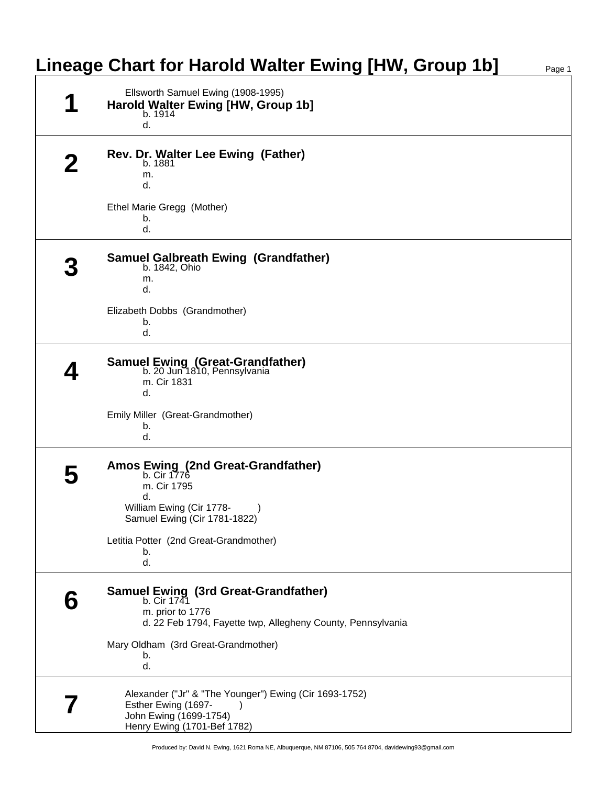| Lineage Chart for Harold Walter Ewing [HW, Group 1b]                                                                                   | Page 1 |
|----------------------------------------------------------------------------------------------------------------------------------------|--------|
| Ellsworth Samuel Ewing (1908-1995)<br>Harold Walter Ewing [HW, Group 1b]<br>b. 1914<br>d.                                              |        |
| Rev. Dr. Walter Lee Ewing (Father)<br>b. 1881<br>m.<br>d.                                                                              |        |
| Ethel Marie Gregg (Mother)<br>b.<br>d.                                                                                                 |        |
| <b>Samuel Galbreath Ewing (Grandfather)</b><br>b. 1842, Ohio<br>m.<br>d.                                                               |        |
| Elizabeth Dobbs (Grandmother)<br>b.<br>d.                                                                                              |        |
| <b>Samuel Ewing (Great-Grandfather)</b><br>b. 20 Jun 1810, Pennsylvania<br>m. Cir 1831<br>d.                                           |        |
| Emily Miller (Great-Grandmother)<br>b.<br>d.                                                                                           |        |
| Amos Ewing (2nd Great-Grandfather)<br>b. Cir 1776<br>m. Cir 1795<br>d.<br>William Ewing (Cir 1778-                                     |        |
| Samuel Ewing (Cir 1781-1822)<br>Letitia Potter (2nd Great-Grandmother)<br>b.<br>d.                                                     |        |
| Samuel Ewing (3rd Great-Grandfather)<br>b. Cir 1741<br>m. prior to 1776<br>d. 22 Feb 1794, Fayette twp, Allegheny County, Pennsylvania |        |
| Mary Oldham (3rd Great-Grandmother)<br>b.<br>d.                                                                                        |        |
| Alexander ("Jr" & "The Younger") Ewing (Cir 1693-1752)<br>Esther Ewing (1697-<br>John Ewing (1699-1754)<br>Henry Ewing (1701-Bef 1782) |        |